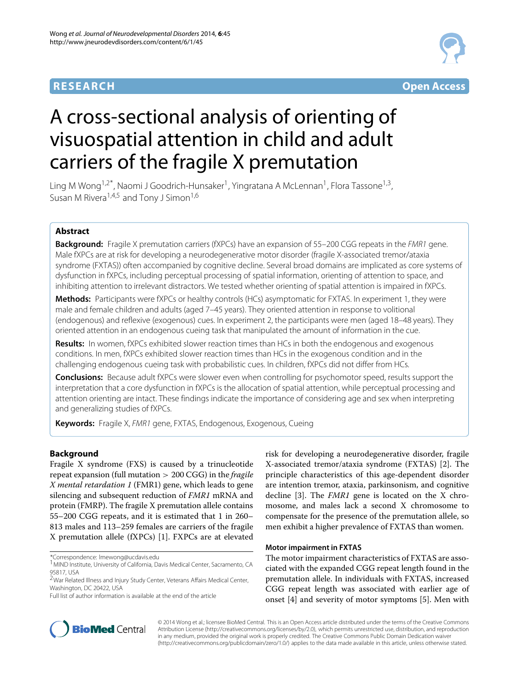# **RESEARCH Open Access**



# A cross-sectional analysis of orienting of visuospatial attention in child and adult carriers of the fragile X premutation

Ling M Wong<sup>1,2\*</sup>, Naomi J Goodrich-Hunsaker<sup>1</sup>, Yingratana A McLennan<sup>1</sup>, Flora Tassone<sup>1,3</sup>, Susan M Rivera<sup>1,4,5</sup> and Tony J Simon<sup>1,6</sup>

# **Abstract**

**Background:** Fragile X premutation carriers (fXPCs) have an expansion of 55–200 CGG repeats in the *FMR1* gene. Male fXPCs are at risk for developing a neurodegenerative motor disorder (fragile X-associated tremor/ataxia syndrome (FXTAS)) often accompanied by cognitive decline. Several broad domains are implicated as core systems of dysfunction in fXPCs, including perceptual processing of spatial information, orienting of attention to space, and inhibiting attention to irrelevant distractors. We tested whether orienting of spatial attention is impaired in fXPCs.

**Methods:** Participants were fXPCs or healthy controls (HCs) asymptomatic for FXTAS. In experiment 1, they were male and female children and adults (aged 7–45 years). They oriented attention in response to volitional (endogenous) and reflexive (exogenous) cues. In experiment 2, the participants were men (aged 18–48 years). They oriented attention in an endogenous cueing task that manipulated the amount of information in the cue.

**Results:** In women, fXPCs exhibited slower reaction times than HCs in both the endogenous and exogenous conditions. In men, fXPCs exhibited slower reaction times than HCs in the exogenous condition and in the challenging endogenous cueing task with probabilistic cues. In children, fXPCs did not differ from HCs.

**Conclusions:** Because adult fXPCs were slower even when controlling for psychomotor speed, results support the interpretation that a core dysfunction in fXPCs is the allocation of spatial attention, while perceptual processing and attention orienting are intact. These findings indicate the importance of considering age and sex when interpreting and generalizing studies of fXPCs.

**Keywords:** Fragile X, *FMR1* gene, FXTAS, Endogenous, Exogenous, Cueing

## **Background**

Fragile X syndrome (FXS) is caused by a trinucleotide repeat expansion (full mutation *>* 200 CGG) in the *fragile X mental retardation 1* (FMR1) gene, which leads to gene silencing and subsequent reduction of *FMR1* mRNA and protein (FMRP). The fragile X premutation allele contains 55–200 CGG repeats, and it is estimated that 1 in 260– 813 males and 113–259 females are carriers of the fragile X premutation allele (fXPCs) [\[1\]](#page-14-0). FXPCs are at elevated

risk for developing a neurodegenerative disorder, fragile X-associated tremor/ataxia syndrome (FXTAS) [\[2\]](#page-14-1). The principle characteristics of this age-dependent disorder are intention tremor, ataxia, parkinsonism, and cognitive decline [\[3\]](#page-14-2). The *FMR1* gene is located on the X chromosome, and males lack a second X chromosome to compensate for the presence of the premutation allele, so men exhibit a higher prevalence of FXTAS than women.

#### **Motor impairment in FXTAS**

The motor impairment characteristics of FXTAS are associated with the expanded CGG repeat length found in the premutation allele. In individuals with FXTAS, increased CGG repeat length was associated with earlier age of onset [\[4\]](#page-14-3) and severity of motor symptoms [\[5\]](#page-14-4). Men with



© 2014 Wong et al.; licensee BioMed Central. This is an Open Access article distributed under the terms of the Creative Commons Attribution License [\(http://creativecommons.org/licenses/by/2.0\)](http://creativecommons.org/licenses/by/2.0), which permits unrestricted use, distribution, and reproduction in any medium, provided the original work is properly credited. The Creative Commons Public Domain Dedication waiver [\(http://creativecommons.org/publicdomain/zero/1.0/\)](http://creativecommons.org/publicdomain/zero/1.0/) applies to the data made available in this article, unless otherwise stated.

<sup>\*</sup>Correspondence: [lmewong@ucdavis.edu](mailto:lmewong@ucdavis.edu)

<sup>1</sup> MIND Institute, University of California, Davis Medical Center, Sacramento, CA 95817, USA

<sup>2</sup>War Related Illness and Injury Study Center, Veterans Affairs Medical Center, Washington, DC 20422, USA

Full list of author information is available at the end of the article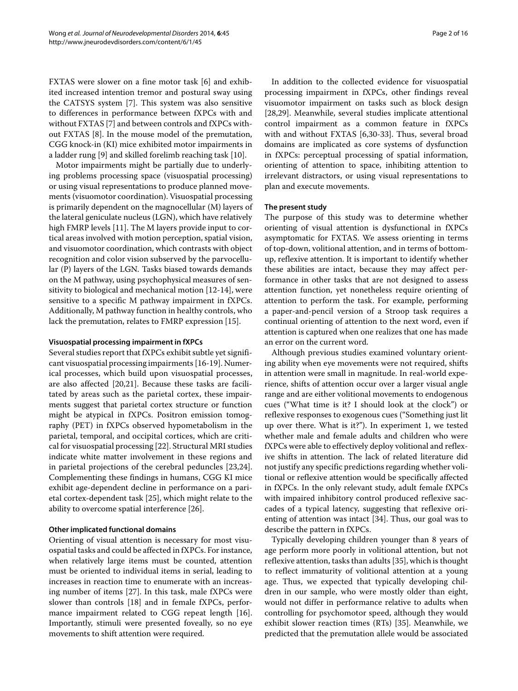FXTAS were slower on a fine motor task [\[6\]](#page-14-5) and exhibited increased intention tremor and postural sway using the CATSYS system [\[7\]](#page-14-6). This system was also sensitive to differences in performance between fXPCs with and without FXTAS [\[7\]](#page-14-6) and between controls and fXPCs without FXTAS [\[8\]](#page-14-7). In the mouse model of the premutation, CGG knock-in (KI) mice exhibited motor impairments in a ladder rung [\[9\]](#page-14-8) and skilled forelimb reaching task [\[10\]](#page-14-9).

Motor impairments might be partially due to underlying problems processing space (visuospatial processing) or using visual representations to produce planned movements (visuomotor coordination). Visuospatial processing is primarily dependent on the magnocellular (M) layers of the lateral geniculate nucleus (LGN), which have relatively high FMRP levels [\[11\]](#page-14-10). The M layers provide input to cortical areas involved with motion perception, spatial vision, and visuomotor coordination, which contrasts with object recognition and color vision subserved by the parvocellular (P) layers of the LGN. Tasks biased towards demands on the M pathway, using psychophysical measures of sensitivity to biological and mechanical motion [\[12](#page-14-11)[-14\]](#page-14-12), were sensitive to a specific M pathway impairment in fXPCs. Additionally, M pathway function in healthy controls, who lack the premutation, relates to FMRP expression [\[15\]](#page-14-13).

#### **Visuospatial processing impairment in fXPCs**

Several studies report that fXPCs exhibit subtle yet significant visuospatial processing impairments [\[16-](#page-14-14)[19\]](#page-14-15). Numerical processes, which build upon visuospatial processes, are also affected [\[20](#page-14-16)[,21\]](#page-14-17). Because these tasks are facilitated by areas such as the parietal cortex, these impairments suggest that parietal cortex structure or function might be atypical in fXPCs. Positron emission tomography (PET) in fXPCs observed hypometabolism in the parietal, temporal, and occipital cortices, which are critical for visuospatial processing [\[22\]](#page-14-18). Structural MRI studies indicate white matter involvement in these regions and in parietal projections of the cerebral peduncles [\[23,](#page-14-19)[24\]](#page-14-20). Complementing these findings in humans, CGG KI mice exhibit age-dependent decline in performance on a parietal cortex-dependent task [\[25\]](#page-14-21), which might relate to the ability to overcome spatial interference [\[26\]](#page-14-22).

#### **Other implicated functional domains**

Orienting of visual attention is necessary for most visuospatial tasks and could be affected in fXPCs. For instance, when relatively large items must be counted, attention must be oriented to individual items in serial, leading to increases in reaction time to enumerate with an increasing number of items [\[27\]](#page-14-23). In this task, male fXPCs were slower than controls [\[18\]](#page-14-24) and in female fXPCs, performance impairment related to CGG repeat length [\[16\]](#page-14-14). Importantly, stimuli were presented foveally, so no eye movements to shift attention were required.

In addition to the collected evidence for visuospatial processing impairment in fXPCs, other findings reveal visuomotor impairment on tasks such as block design [\[28,](#page-14-25)[29\]](#page-14-26). Meanwhile, several studies implicate attentional control impairment as a common feature in fXPCs with and without FXTAS [\[6](#page-14-5)[,30-](#page-14-27)[33\]](#page-14-28). Thus, several broad domains are implicated as core systems of dysfunction in fXPCs: perceptual processing of spatial information, orienting of attention to space, inhibiting attention to irrelevant distractors, or using visual representations to plan and execute movements.

#### **The present study**

The purpose of this study was to determine whether orienting of visual attention is dysfunctional in fXPCs asymptomatic for FXTAS. We assess orienting in terms of top-down, volitional attention, and in terms of bottomup, reflexive attention. It is important to identify whether these abilities are intact, because they may affect performance in other tasks that are not designed to assess attention function, yet nonetheless require orienting of attention to perform the task. For example, performing a paper-and-pencil version of a Stroop task requires a continual orienting of attention to the next word, even if attention is captured when one realizes that one has made an error on the current word.

Although previous studies examined voluntary orienting ability when eye movements were not required, shifts in attention were small in magnitude. In real-world experience, shifts of attention occur over a larger visual angle range and are either volitional movements to endogenous cues ("What time is it? I should look at the clock") or reflexive responses to exogenous cues ("Something just lit up over there. What is it?"). In experiment 1, we tested whether male and female adults and children who were fXPCs were able to effectively deploy volitional and reflexive shifts in attention. The lack of related literature did not justify any specific predictions regarding whether volitional or reflexive attention would be specifically affected in fXPCs. In the only relevant study, adult female fXPCs with impaired inhibitory control produced reflexive saccades of a typical latency, suggesting that reflexive orienting of attention was intact [\[34\]](#page-14-29). Thus, our goal was to describe the pattern in fXPCs.

Typically developing children younger than 8 years of age perform more poorly in volitional attention, but not reflexive attention, tasks than adults [\[35\]](#page-14-30), which is thought to reflect immaturity of volitional attention at a young age. Thus, we expected that typically developing children in our sample, who were mostly older than eight, would not differ in performance relative to adults when controlling for psychomotor speed, although they would exhibit slower reaction times (RTs) [\[35\]](#page-14-30). Meanwhile, we predicted that the premutation allele would be associated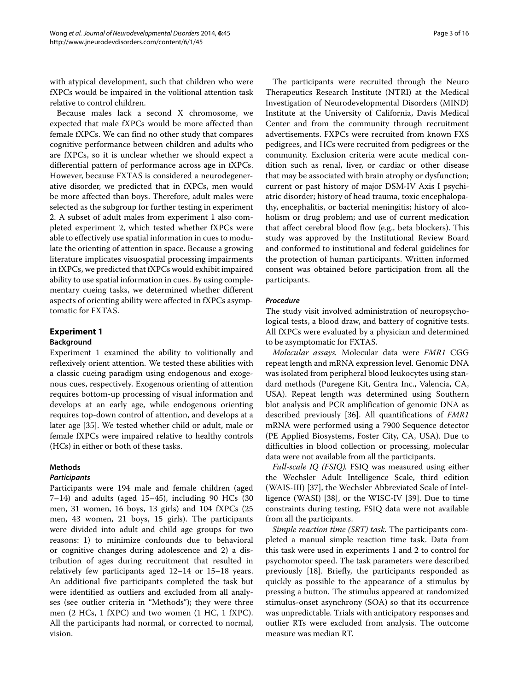with atypical development, such that children who were fXPCs would be impaired in the volitional attention task relative to control children.

Because males lack a second X chromosome, we expected that male fXPCs would be more affected than female fXPCs. We can find no other study that compares cognitive performance between children and adults who are fXPCs, so it is unclear whether we should expect a differential pattern of performance across age in fXPCs. However, because FXTAS is considered a neurodegenerative disorder, we predicted that in fXPCs, men would be more affected than boys. Therefore, adult males were selected as the subgroup for further testing in experiment 2. A subset of adult males from experiment 1 also completed experiment 2, which tested whether fXPCs were able to effectively use spatial information in cues to modulate the orienting of attention in space. Because a growing literature implicates visuospatial processing impairments in fXPCs, we predicted that fXPCs would exhibit impaired ability to use spatial information in cues. By using complementary cueing tasks, we determined whether different aspects of orienting ability were affected in fXPCs asymptomatic for FXTAS.

# **Experiment 1**

#### **Background**

Experiment 1 examined the ability to volitionally and reflexively orient attention. We tested these abilities with a classic cueing paradigm using endogenous and exogenous cues, respectively. Exogenous orienting of attention requires bottom-up processing of visual information and develops at an early age, while endogenous orienting requires top-down control of attention, and develops at a later age [\[35\]](#page-14-30). We tested whether child or adult, male or female fXPCs were impaired relative to healthy controls (HCs) in either or both of these tasks.

#### <span id="page-2-0"></span>**Methods**

#### *Participants*

Participants were 194 male and female children (aged  $7-14$ ) and adults (aged 15-45), including 90 HCs (30 men, 31 women, 16 boys, 13 girls) and 104 fXPCs (25 men, 43 women, 21 boys, 15 girls). The participants were divided into adult and child age groups for two reasons: 1) to minimize confounds due to behavioral or cognitive changes during adolescence and 2) a distribution of ages during recruitment that resulted in relatively few participants aged 12–14 or 15–18 years. An additional five participants completed the task but were identified as outliers and excluded from all analyses (see outlier criteria in ["Methods"](#page-2-0)); they were three men (2 HCs, 1 fXPC) and two women (1 HC, 1 fXPC). All the participants had normal, or corrected to normal, vision.

The participants were recruited through the Neuro Therapeutics Research Institute (NTRI) at the Medical Investigation of Neurodevelopmental Disorders (MIND) Institute at the University of California, Davis Medical Center and from the community through recruitment advertisements. FXPCs were recruited from known FXS pedigrees, and HCs were recruited from pedigrees or the community. Exclusion criteria were acute medical condition such as renal, liver, or cardiac or other disease that may be associated with brain atrophy or dysfunction; current or past history of major DSM-IV Axis I psychiatric disorder; history of head trauma, toxic encephalopathy, encephalitis, or bacterial meningitis; history of alcoholism or drug problem; and use of current medication that affect cerebral blood flow (e.g., beta blockers). This study was approved by the Institutional Review Board and conformed to institutional and federal guidelines for the protection of human participants. Written informed consent was obtained before participation from all the participants.

#### *Procedure*

The study visit involved administration of neuropsychological tests, a blood draw, and battery of cognitive tests. All fXPCs were evaluated by a physician and determined to be asymptomatic for FXTAS.

*Molecular assays.* Molecular data were *FMR1* CGG repeat length and mRNA expression level. Genomic DNA was isolated from peripheral blood leukocytes using standard methods (Puregene Kit, Gentra Inc., Valencia, CA, USA). Repeat length was determined using Southern blot analysis and PCR amplification of genomic DNA as described previously [\[36\]](#page-14-31). All quantifications of *FMR1* mRNA were performed using a 7900 Sequence detector (PE Applied Biosystems, Foster City, CA, USA). Due to difficulties in blood collection or processing, molecular data were not available from all the participants.

*Full-scale IQ (FSIQ).* FSIQ was measured using either the Wechsler Adult Intelligence Scale, third edition (WAIS-III) [\[37\]](#page-15-0), the Wechsler Abbreviated Scale of Intelligence (WASI) [\[38\]](#page-15-1), or the WISC-IV [\[39\]](#page-15-2). Due to time constraints during testing, FSIQ data were not available from all the participants.

*Simple reaction time (SRT) task.* The participants completed a manual simple reaction time task. Data from this task were used in experiments 1 and 2 to control for psychomotor speed. The task parameters were described previously [\[18\]](#page-14-24). Briefly, the participants responded as quickly as possible to the appearance of a stimulus by pressing a button. The stimulus appeared at randomized stimulus-onset asynchrony (SOA) so that its occurrence was unpredictable. Trials with anticipatory responses and outlier RTs were excluded from analysis. The outcome measure was median RT.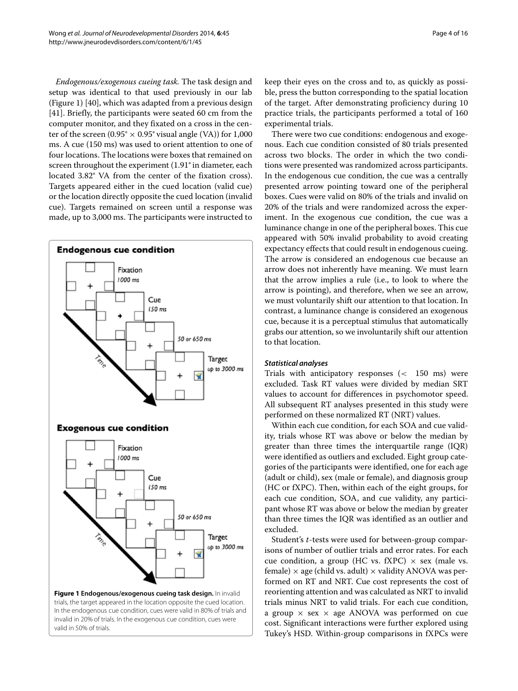*Endogenous/exogenous cueing task.* The task design and setup was identical to that used previously in our lab (Figure [1\)](#page-3-0) [\[40\]](#page-15-3), which was adapted from a previous design [\[41\]](#page-15-4). Briefly, the participants were seated 60 cm from the computer monitor, and they fixated on a cross in the center of the screen  $(0.95^\circ \times 0.95^\circ)$  visual angle (VA)) for 1,000 ms. A cue (150 ms) was used to orient attention to one of four locations. The locations were boxes that remained on screen throughout the experiment (1.91° in diameter, each located 3.82° VA from the center of the fixation cross). Targets appeared either in the cued location (valid cue) or the location directly opposite the cued location (invalid cue). Targets remained on screen until a response was made, up to 3,000 ms. The participants were instructed to



keep their eyes on the cross and to, as quickly as possible, press the button corresponding to the spatial location of the target. After demonstrating proficiency during 10 practice trials, the participants performed a total of 160 experimental trials.

There were two cue conditions: endogenous and exogenous. Each cue condition consisted of 80 trials presented across two blocks. The order in which the two conditions were presented was randomized across participants. In the endogenous cue condition, the cue was a centrally presented arrow pointing toward one of the peripheral boxes. Cues were valid on 80% of the trials and invalid on 20% of the trials and were randomized across the experiment. In the exogenous cue condition, the cue was a luminance change in one of the peripheral boxes. This cue appeared with 50% invalid probability to avoid creating expectancy effects that could result in endogenous cueing. The arrow is considered an endogenous cue because an arrow does not inherently have meaning. We must learn that the arrow implies a rule (i.e., to look to where the arrow is pointing), and therefore, when we see an arrow, we must voluntarily shift our attention to that location. In contrast, a luminance change is considered an exogenous cue, because it is a perceptual stimulus that automatically grabs our attention, so we involuntarily shift our attention to that location.

#### *Statistical analyses*

Trials with anticipatory responses (*<* 150 ms) were excluded. Task RT values were divided by median SRT values to account for differences in psychomotor speed. All subsequent RT analyses presented in this study were performed on these normalized RT (NRT) values.

Within each cue condition, for each SOA and cue validity, trials whose RT was above or below the median by greater than three times the interquartile range (IQR) were identified as outliers and excluded. Eight group categories of the participants were identified, one for each age (adult or child), sex (male or female), and diagnosis group (HC or fXPC). Then, within each of the eight groups, for each cue condition, SOA, and cue validity, any participant whose RT was above or below the median by greater than three times the IQR was identified as an outlier and excluded.

<span id="page-3-0"></span>Student's *t*-tests were used for between-group comparisons of number of outlier trials and error rates. For each cue condition, a group (HC vs. fXPC)  $\times$  sex (male vs. female)  $\times$  age (child vs. adult)  $\times$  validity ANOVA was performed on RT and NRT. Cue cost represents the cost of reorienting attention and was calculated as NRT to invalid trials minus NRT to valid trials. For each cue condition, a group  $\times$  sex  $\times$  age ANOVA was performed on cue cost. Significant interactions were further explored using Tukey's HSD. Within-group comparisons in fXPCs were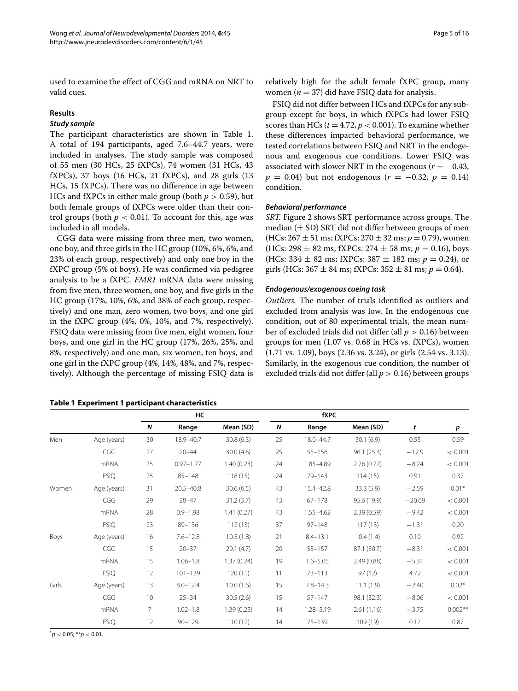used to examine the effect of CGG and mRNA on NRT to valid cues.

#### **Results**

#### *Study sample*

The participant characteristics are shown in Table [1.](#page-4-0) A total of 194 participants, aged 7.6–44.7 years, were included in analyses. The study sample was composed of 55 men (30 HCs, 25 fXPCs), 74 women (31 HCs, 43 fXPCs), 37 boys (16 HCs, 21 fXPCs), and 28 girls (13 HCs, 15 fXPCs). There was no difference in age between HCs and fXPCs in either male group (both *p >* 0.59), but both female groups of fXPCs were older than their control groups (both  $p < 0.01$ ). To account for this, age was included in all models.

CGG data were missing from three men, two women, one boy, and three girls in the HC group (10%, 6%, 6%, and 23% of each group, respectively) and only one boy in the fXPC group (5% of boys). He was confirmed via pedigree analysis to be a fXPC. *FMR1* mRNA data were missing from five men, three women, one boy, and five girls in the HC group (17%, 10%, 6%, and 38% of each group, respectively) and one man, zero women, two boys, and one girl in the fXPC group (4%, 0%, 10%, and 7%, respectively). FSIQ data were missing from five men, eight women, four boys, and one girl in the HC group (17%, 26%, 25%, and 8%, respectively) and one man, six women, ten boys, and one girl in the fXPC group (4%, 14%, 48%, and 7%, respectively). Although the percentage of missing FSIQ data is

<span id="page-4-0"></span>

|  |  |  | Table 1 Experiment 1 participant characteristics |
|--|--|--|--------------------------------------------------|
|--|--|--|--------------------------------------------------|

relatively high for the adult female fXPC group, many women ( $n = 37$ ) did have FSIQ data for analysis.

FSIQ did not differ between HCs and fXPCs for any subgroup except for boys, in which fXPCs had lower FSIQ scores than HCs  $(t = 4.72, p < 0.001)$ . To examine whether these differences impacted behavioral performance, we tested correlations between FSIQ and NRT in the endogenous and exogenous cue conditions. Lower FSIQ was associated with slower NRT in the exogenous  $(r = -0.43,$  $p = 0.04$ ) but not endogenous ( $r = -0.32$ ,  $p = 0.14$ ) condition.

#### *Behavioral performance*

*SRT.* Figure [2](#page-5-0) shows SRT performance across groups. The median  $(\pm SD)$  SRT did not differ between groups of men  $(HCs: 267 \pm 51 \text{ ms}; fXPCs: 270 \pm 32 \text{ ms}; p = 0.79)$ , women  $(HCs: 298 \pm 82 \text{ ms}; fXPCs: 274 \pm 58 \text{ ms}; p = 0.16)$ , boys (HCs:  $334 \pm 82$  ms; fXPCs:  $387 \pm 182$  ms;  $p = 0.24$ ), or girls (HCs:  $367 \pm 84$  ms; fXPCs:  $352 \pm 81$  ms;  $p = 0.64$ ).

#### *Endogenous/exogenous cueing task*

*Outliers.* The number of trials identified as outliers and excluded from analysis was low. In the endogenous cue condition, out of 80 experimental trials, the mean number of excluded trials did not differ (all *p >* 0.16) between groups for men (1.07 vs. 0.68 in HCs vs. fXPCs), women (1.71 vs. 1.09), boys (2.36 vs. 3.24), or girls (2.54 vs. 3.13). Similarly, in the exogenous cue condition, the number of excluded trials did not differ (all *p >* 0.16) between groups

|       |             | HC               |               |            |    | <b>fXPC</b>   |             |          |                  |
|-------|-------------|------------------|---------------|------------|----|---------------|-------------|----------|------------------|
|       |             | $\boldsymbol{N}$ | Range         | Mean (SD)  | N  | Range         | Mean (SD)   | t        | $\boldsymbol{p}$ |
| Men   | Age (years) | 30               | 18.9-40.7     | 30.8(6.3)  | 25 | 18.0-44.7     | 30.1(6.9)   | 0.55     | 0.59             |
|       | CGG         | 27               | $20 - 44$     | 30.0(4.6)  | 25 | $55 - 156$    | 96.1(25.3)  | $-12.9$  | < 0.001          |
|       | <b>mRNA</b> | 25               | $0.97 - 1.77$ | 1.40(0.23) | 24 | $1.85 - 4.89$ | 2.76(0.77)  | $-8.24$  | < 0.001          |
|       | <b>FSIQ</b> | 25               | $85 - 148$    | 118(15)    | 24 | $79 - 143$    | 114(15)     | 0.91     | 0.37             |
| Women | Age (years) | 31               | $20.5 - 40.8$ | 30.6(6.5)  | 43 | 15.4-42.8     | 33.3(5.9)   | $-2.59$  | $0.01*$          |
|       | CGG         | 29               | $28 - 47$     | 31.2(3.7)  | 43 | $67 - 178$    | 95.6 (19.9) | $-20.69$ | < 0.001          |
|       | mRNA        | 28               | $0.9 - 1.98$  | 1.41(0.27) | 43 | $1.55 - 4.62$ | 2.39(0.59)  | $-9.42$  | < 0.001          |
|       | <b>FSIQ</b> | 23               | 89-136        | 112(13)    | 37 | $97 - 148$    | 117(13)     | $-1.31$  | 0.20             |
| Boys  | Age (years) | 16               | $7.6 - 12.8$  | 10.5(1.8)  | 21 | $8.4 - 13.1$  | 10.4(1.4)   | 0.10     | 0.92             |
|       | CGG         | 15               | $20 - 37$     | 29.1(4.7)  | 20 | $55 - 157$    | 87.1 (30.7) | $-8.31$  | < 0.001          |
|       | mRNA        | 15               | $1.06 - 1.8$  | 1.37(0.24) | 19 | $1.6 - 5.05$  | 2.49(0.88)  | $-5.31$  | < 0.001          |
|       | <b>FSIQ</b> | 12               | $101 - 139$   | 120(11)    | 11 | $73 - 113$    | 97(12)      | 4.72     | < 0.001          |
| Girls | Age (years) | 13               | $8.0 - 12.4$  | 10.0(1.6)  | 15 | $7.8 - 14.3$  | 11.1(1.9)   | $-2.40$  | $0.02*$          |
|       | CGG         | 10 <sup>°</sup>  | $25 - 34$     | 30.5(2.6)  | 15 | $57 - 147$    | 98.1 (32.3) | $-8.06$  | < 0.001          |
|       | <b>mRNA</b> | 7                | $1.02 - 1.8$  | 1.39(0.25) | 14 | $1.28 - 5.19$ | 2.61(1.16)  | $-3.75$  | $0.002**$        |
|       | <b>FSIQ</b> | 12               | $90 - 129$    | 110(12)    | 14 | $75 - 139$    | 109 (19)    | 0.17     | 0.87             |

 $p^*$  *p*  $< 0.05$ ; \*\**p*  $< 0.01$ .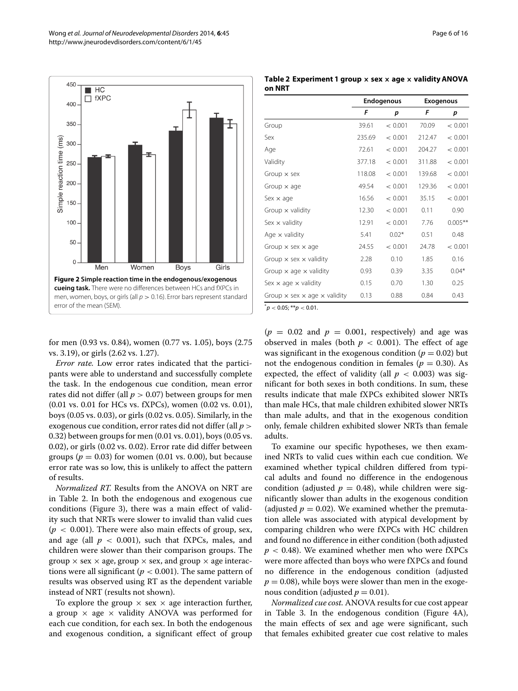

<span id="page-5-0"></span>for men (0.93 vs. 0.84), women (0.77 vs. 1.05), boys (2.75 vs. 3.19), or girls (2.62 vs. 1.27).

*Error rate.* Low error rates indicated that the participants were able to understand and successfully complete the task. In the endogenous cue condition, mean error rates did not differ (all *p >* 0.07) between groups for men (0.01 vs. 0.01 for HCs vs. fXPCs), women (0.02 vs. 0.01), boys (0.05 vs. 0.03), or girls (0.02 vs. 0.05). Similarly, in the exogenous cue condition, error rates did not differ (all *p >* 0.32) between groups for men (0.01 vs. 0.01), boys (0.05 vs. 0.02), or girls (0.02 vs. 0.02). Error rate did differ between groups ( $p = 0.03$ ) for women (0.01 vs. 0.00), but because error rate was so low, this is unlikely to affect the pattern of results.

*Normalized RT.* Results from the ANOVA on NRT are in Table [2.](#page-5-1) In both the endogenous and exogenous cue conditions (Figure [3\)](#page-6-0), there was a main effect of validity such that NRTs were slower to invalid than valid cues  $(p < 0.001)$ . There were also main effects of group, sex, and age (all  $p < 0.001$ ), such that fXPCs, males, and children were slower than their comparison groups. The group  $\times$  sex  $\times$  age, group  $\times$  sex, and group  $\times$  age interactions were all significant (*p <* 0.001). The same pattern of results was observed using RT as the dependent variable instead of NRT (results not shown).

To explore the group  $\times$  sex  $\times$  age interaction further, a group  $\times$  age  $\times$  validity ANOVA was performed for each cue condition, for each sex. In both the endogenous and exogenous condition, a significant effect of group

<span id="page-5-1"></span>

|        | Table 2 Experiment 1 group $x$ sex $x$ age $x$ validity ANOVA |  |  |  |
|--------|---------------------------------------------------------------|--|--|--|
| on NRT |                                                               |  |  |  |

|                                                   |        | Endogenous | <b>Exogenous</b> |            |
|---------------------------------------------------|--------|------------|------------------|------------|
|                                                   | F      | p          | F                | p          |
| Group                                             | 39.61  | < 0.001    | 70.09            | < 0.001    |
| Sex                                               | 235.69 | < 0.001    | 212.47           | < 0.001    |
| Age                                               | 72.61  | < 0.001    | 204.27           | < 0.001    |
| Validity                                          | 377.18 | < 0.001    | 311.88           | < 0.001    |
| Group $\times$ sex                                | 118.08 | < 0.001    | 139.68           | < 0.001    |
| Group $\times$ age                                | 49.54  | < 0.001    | 129.36           | < 0.001    |
| Sex $\times$ age                                  | 16.56  | < 0.001    | 35.15            | < 0.001    |
| Group $\times$ validity                           | 12.30  | < 0.001    | 0.11             | 0.90       |
| Sex $\times$ validity                             | 12.91  | < 0.001    | 7.76             | $0.005***$ |
| Age $\times$ validity                             | 5.41   | $0.02*$    | 0.51             | 0.48       |
| Group $\times$ sex $\times$ age                   | 24.55  | < 0.001    | 24.78            | < 0.001    |
| Group $\times$ sex $\times$ validity              | 2.28   | 0.10       | 1.85             | 0.16       |
| Group $\times$ age $\times$ validity              | 0.93   | 0.39       | 3.35             | $0.04*$    |
| Sex $\times$ age $\times$ validity                | 0.15   | 0.70       | 1.30             | 0.25       |
| Group $\times$ sex $\times$ age $\times$ validity | 0.13   | 0.88       | 0.84             | 0.43       |

 $p^*$   $p < 0.05$ ;  $*$  $p$   $< 0.01$ .

 $(p = 0.02$  and  $p = 0.001$ , respectively) and age was observed in males (both  $p < 0.001$ ). The effect of age was significant in the exogenous condition ( $p = 0.02$ ) but not the endogenous condition in females ( $p = 0.30$ ). As expected, the effect of validity (all  $p < 0.003$ ) was significant for both sexes in both conditions. In sum, these results indicate that male fXPCs exhibited slower NRTs than male HCs, that male children exhibited slower NRTs than male adults, and that in the exogenous condition only, female children exhibited slower NRTs than female adults.

To examine our specific hypotheses, we then examined NRTs to valid cues within each cue condition. We examined whether typical children differed from typical adults and found no difference in the endogenous condition (adjusted  $p = 0.48$ ), while children were significantly slower than adults in the exogenous condition (adjusted  $p = 0.02$ ). We examined whether the premutation allele was associated with atypical development by comparing children who were fXPCs with HC children and found no difference in either condition (both adjusted *p <* 0.48). We examined whether men who were fXPCs were more affected than boys who were fXPCs and found no difference in the endogenous condition (adjusted  $p = 0.08$ ), while boys were slower than men in the exogenous condition (adjusted  $p = 0.01$ ).

*Normalized cue cost.* ANOVA results for cue cost appear in Table [3.](#page-6-1) In the endogenous condition (Figure [4A](#page-7-0)), the main effects of sex and age were significant, such that females exhibited greater cue cost relative to males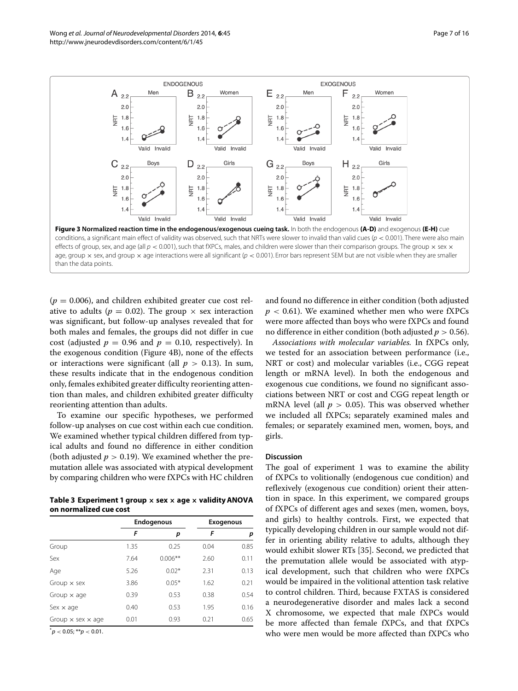

<span id="page-6-0"></span> $(p = 0.006)$ , and children exhibited greater cue cost relative to adults ( $p = 0.02$ ). The group  $\times$  sex interaction was significant, but follow-up analyses revealed that for both males and females, the groups did not differ in cue cost (adjusted  $p = 0.96$  and  $p = 0.10$ , respectively). In the exogenous condition (Figure [4B](#page-7-0)), none of the effects or interactions were significant (all  $p > 0.13$ ). In sum, these results indicate that in the endogenous condition only, females exhibited greater difficulty reorienting attention than males, and children exhibited greater difficulty reorienting attention than adults.

To examine our specific hypotheses, we performed follow-up analyses on cue cost within each cue condition. We examined whether typical children differed from typical adults and found no difference in either condition (both adjusted  $p > 0.19$ ). We examined whether the premutation allele was associated with atypical development by comparing children who were fXPCs with HC children

<span id="page-6-1"></span>**Table 3 Experiment 1 group × sex × age × validity ANOVA on normalized cue cost**

|                                 |      | <b>Endogenous</b> | <b>Exogenous</b> |      |
|---------------------------------|------|-------------------|------------------|------|
|                                 | F    | р                 | F                | p    |
| Group                           | 1.35 | 0.25              | 0.04             | 0.85 |
| Sex                             | 7.64 | $0.006**$         | 2.60             | 0.11 |
| Age                             | 5.26 | $0.02*$           | 2.31             | 0.13 |
| Group $\times$ sex              | 3.86 | $0.05*$           | 1.62             | 0.21 |
| Group $\times$ age              | 0.39 | 0.53              | 0.38             | 0.54 |
| $Sex \times age$                | 0.40 | 0.53              | 1.95             | 0.16 |
| Group $\times$ sex $\times$ age | 0.01 | 0.93              | 0.21             | 0.65 |

 $p^*$  *p*  $< 0.05$ ; \*\**p*  $< 0.01$ .

and found no difference in either condition (both adjusted *p <* 0.61). We examined whether men who were fXPCs were more affected than boys who were fXPCs and found no difference in either condition (both adjusted  $p > 0.56$ ).

*Associations with molecular variables.* In fXPCs only, we tested for an association between performance (i.e., NRT or cost) and molecular variables (i.e., CGG repeat length or mRNA level). In both the endogenous and exogenous cue conditions, we found no significant associations between NRT or cost and CGG repeat length or mRNA level (all  $p > 0.05$ ). This was observed whether we included all fXPCs; separately examined males and females; or separately examined men, women, boys, and girls.

#### **Discussion**

The goal of experiment 1 was to examine the ability of fXPCs to volitionally (endogenous cue condition) and reflexively (exogenous cue condition) orient their attention in space. In this experiment, we compared groups of fXPCs of different ages and sexes (men, women, boys, and girls) to healthy controls. First, we expected that typically developing children in our sample would not differ in orienting ability relative to adults, although they would exhibit slower RTs [\[35\]](#page-14-30). Second, we predicted that the premutation allele would be associated with atypical development, such that children who were fXPCs would be impaired in the volitional attention task relative to control children. Third, because FXTAS is considered a neurodegenerative disorder and males lack a second X chromosome, we expected that male fXPCs would be more affected than female fXPCs, and that fXPCs who were men would be more affected than fXPCs who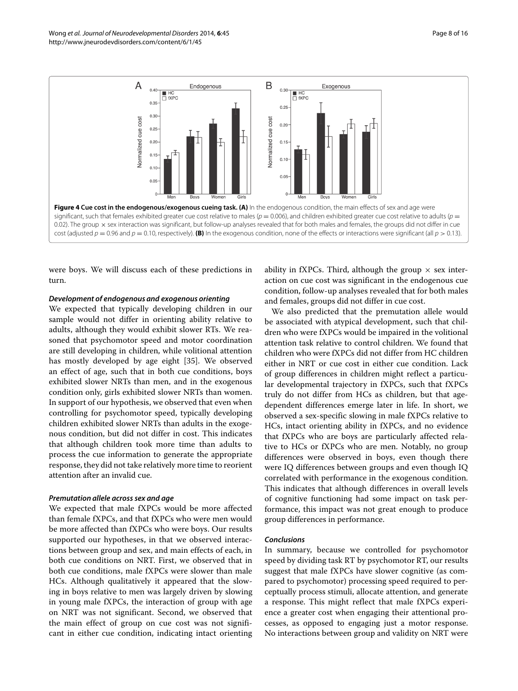

<span id="page-7-0"></span>were boys. We will discuss each of these predictions in turn.

#### *Development of endogenous and exogenous orienting*

We expected that typically developing children in our sample would not differ in orienting ability relative to adults, although they would exhibit slower RTs. We reasoned that psychomotor speed and motor coordination are still developing in children, while volitional attention has mostly developed by age eight [\[35\]](#page-14-30). We observed an effect of age, such that in both cue conditions, boys exhibited slower NRTs than men, and in the exogenous condition only, girls exhibited slower NRTs than women. In support of our hypothesis, we observed that even when controlling for psychomotor speed, typically developing children exhibited slower NRTs than adults in the exogenous condition, but did not differ in cost. This indicates that although children took more time than adults to process the cue information to generate the appropriate response, they did not take relatively more time to reorient attention after an invalid cue.

#### *Premutation allele across sex and age*

We expected that male fXPCs would be more affected than female fXPCs, and that fXPCs who were men would be more affected than fXPCs who were boys. Our results supported our hypotheses, in that we observed interactions between group and sex, and main effects of each, in both cue conditions on NRT. First, we observed that in both cue conditions, male fXPCs were slower than male HCs. Although qualitatively it appeared that the slowing in boys relative to men was largely driven by slowing in young male fXPCs, the interaction of group with age on NRT was not significant. Second, we observed that the main effect of group on cue cost was not significant in either cue condition, indicating intact orienting ability in fXPCs. Third, although the group  $\times$  sex interaction on cue cost was significant in the endogenous cue condition, follow-up analyses revealed that for both males and females, groups did not differ in cue cost.

We also predicted that the premutation allele would be associated with atypical development, such that children who were fXPCs would be impaired in the volitional attention task relative to control children. We found that children who were fXPCs did not differ from HC children either in NRT or cue cost in either cue condition. Lack of group differences in children might reflect a particular developmental trajectory in fXPCs, such that fXPCs truly do not differ from HCs as children, but that agedependent differences emerge later in life. In short, we observed a sex-specific slowing in male fXPCs relative to HCs, intact orienting ability in fXPCs, and no evidence that fXPCs who are boys are particularly affected relative to HCs or fXPCs who are men. Notably, no group differences were observed in boys, even though there were IQ differences between groups and even though IQ correlated with performance in the exogenous condition. This indicates that although differences in overall levels of cognitive functioning had some impact on task performance, this impact was not great enough to produce group differences in performance.

#### *Conclusions*

In summary, because we controlled for psychomotor speed by dividing task RT by psychomotor RT, our results suggest that male fXPCs have slower cognitive (as compared to psychomotor) processing speed required to perceptually process stimuli, allocate attention, and generate a response. This might reflect that male fXPCs experience a greater cost when engaging their attentional processes, as opposed to engaging just a motor response. No interactions between group and validity on NRT were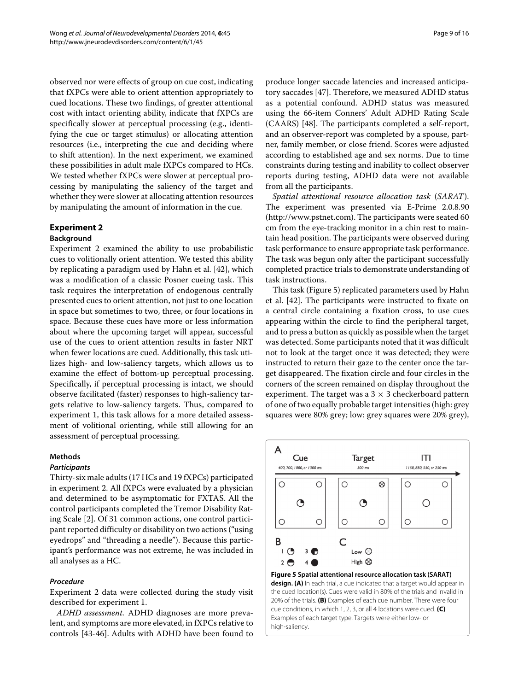observed nor were effects of group on cue cost, indicating that fXPCs were able to orient attention appropriately to cued locations. These two findings, of greater attentional cost with intact orienting ability, indicate that fXPCs are specifically slower at perceptual processing (e.g., identifying the cue or target stimulus) or allocating attention resources (i.e., interpreting the cue and deciding where to shift attention). In the next experiment, we examined these possibilities in adult male fXPCs compared to HCs. We tested whether fXPCs were slower at perceptual processing by manipulating the saliency of the target and whether they were slower at allocating attention resources by manipulating the amount of information in the cue.

### **Experiment 2 Background**

Experiment 2 examined the ability to use probabilistic cues to volitionally orient attention. We tested this ability by replicating a paradigm used by Hahn et al. [\[42\]](#page-15-5), which was a modification of a classic Posner cueing task. This task requires the interpretation of endogenous centrally presented cues to orient attention, not just to one location in space but sometimes to two, three, or four locations in space. Because these cues have more or less information about where the upcoming target will appear, successful use of the cues to orient attention results in faster NRT when fewer locations are cued. Additionally, this task utilizes high- and low-saliency targets, which allows us to examine the effect of bottom-up perceptual processing. Specifically, if perceptual processing is intact, we should observe facilitated (faster) responses to high-saliency targets relative to low-saliency targets. Thus, compared to experiment 1, this task allows for a more detailed assessment of volitional orienting, while still allowing for an assessment of perceptual processing.

#### **Methods**

#### *Participants*

Thirty-six male adults (17 HCs and 19 fXPCs) participated in experiment 2. All fXPCs were evaluated by a physician and determined to be asymptomatic for FXTAS. All the control participants completed the Tremor Disability Rating Scale [\[2\]](#page-14-1). Of 31 common actions, one control participant reported difficulty or disability on two actions ("using eyedrops" and "threading a needle"). Because this participant's performance was not extreme, he was included in all analyses as a HC.

#### *Procedure*

Experiment 2 data were collected during the study visit described for experiment 1.

*ADHD assessment.* ADHD diagnoses are more prevalent, and symptoms are more elevated, in fXPCs relative to controls [\[43-](#page-15-6)[46\]](#page-15-7). Adults with ADHD have been found to

produce longer saccade latencies and increased anticipatory saccades [\[47\]](#page-15-8). Therefore, we measured ADHD status as a potential confound. ADHD status was measured using the 66-item Conners' Adult ADHD Rating Scale (CAARS) [\[48\]](#page-15-9). The participants completed a self-report, and an observer-report was completed by a spouse, partner, family member, or close friend. Scores were adjusted according to established age and sex norms. Due to time constraints during testing and inability to collect observer reports during testing, ADHD data were not available from all the participants.

*Spatial attentional resource allocation task* (*SARAT*). The experiment was presented via E-Prime 2.0.8.90 [\(http://www.pstnet.com\)](http://www.pstnet.com). The participants were seated 60 cm from the eye-tracking monitor in a chin rest to maintain head position. The participants were observed during task performance to ensure appropriate task performance. The task was begun only after the participant successfully completed practice trials to demonstrate understanding of task instructions.

This task (Figure [5\)](#page-8-0) replicated parameters used by Hahn et al. [\[42\]](#page-15-5). The participants were instructed to fixate on a central circle containing a fixation cross, to use cues appearing within the circle to find the peripheral target, and to press a button as quickly as possible when the target was detected. Some participants noted that it was difficult not to look at the target once it was detected; they were instructed to return their gaze to the center once the target disappeared. The fixation circle and four circles in the corners of the screen remained on display throughout the experiment. The target was a  $3 \times 3$  checkerboard pattern of one of two equally probable target intensities (high: grey squares were 80% grey; low: grey squares were 20% grey),

<span id="page-8-0"></span>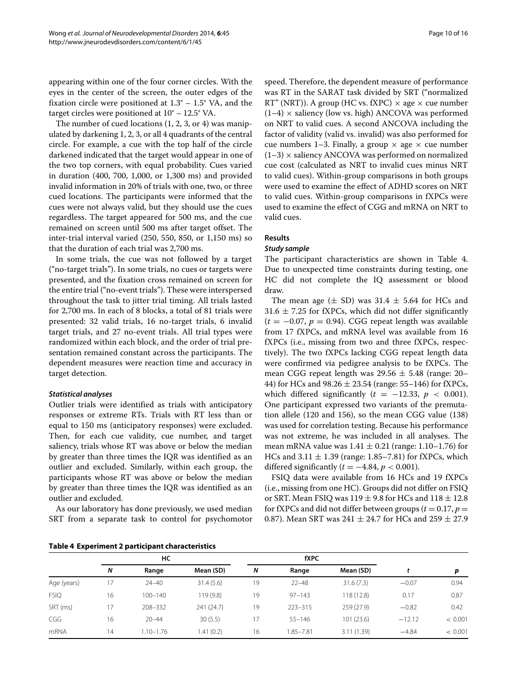appearing within one of the four corner circles. With the eyes in the center of the screen, the outer edges of the fixation circle were positioned at 1.3° – 1.5° VA, and the target circles were positioned at 10° – 12.5° VA.

The number of cued locations (1, 2, 3, or 4) was manipulated by darkening 1, 2, 3, or all 4 quadrants of the central circle. For example, a cue with the top half of the circle darkened indicated that the target would appear in one of the two top corners, with equal probability. Cues varied in duration (400, 700, 1,000, or 1,300 ms) and provided invalid information in 20% of trials with one, two, or three cued locations. The participants were informed that the cues were not always valid, but they should use the cues regardless. The target appeared for 500 ms, and the cue remained on screen until 500 ms after target offset. The inter-trial interval varied (250, 550, 850, or 1,150 ms) so that the duration of each trial was 2,700 ms.

In some trials, the cue was not followed by a target ("no-target trials"). In some trials, no cues or targets were presented, and the fixation cross remained on screen for the entire trial ("no-event trials"). These were interspersed throughout the task to jitter trial timing. All trials lasted for 2,700 ms. In each of 8 blocks, a total of 81 trials were presented: 32 valid trials, 16 no-target trials, 6 invalid target trials, and 27 no-event trials. All trial types were randomized within each block, and the order of trial presentation remained constant across the participants. The dependent measures were reaction time and accuracy in target detection.

#### *Statistical analyses*

Outlier trials were identified as trials with anticipatory responses or extreme RTs. Trials with RT less than or equal to 150 ms (anticipatory responses) were excluded. Then, for each cue validity, cue number, and target saliency, trials whose RT was above or below the median by greater than three times the IQR was identified as an outlier and excluded. Similarly, within each group, the participants whose RT was above or below the median by greater than three times the IQR was identified as an outlier and excluded.

As our laboratory has done previously, we used median SRT from a separate task to control for psychomotor speed. Therefore, the dependent measure of performance was RT in the SARAT task divided by SRT ("normalized RT" (NRT)). A group (HC vs. fXPC)  $\times$  age  $\times$  cue number  $(1-4)$  × saliency (low vs. high) ANCOVA was performed on NRT to valid cues. A second ANCOVA including the factor of validity (valid vs. invalid) was also performed for cue numbers 1–3. Finally, a group  $\times$  age  $\times$  cue number  $(1-3)$  × saliency ANCOVA was performed on normalized cue cost (calculated as NRT to invalid cues minus NRT to valid cues). Within-group comparisons in both groups were used to examine the effect of ADHD scores on NRT to valid cues. Within-group comparisons in fXPCs were used to examine the effect of CGG and mRNA on NRT to valid cues.

#### **Results**

#### *Study sample*

The participant characteristics are shown in Table [4.](#page-9-0) Due to unexpected time constraints during testing, one HC did not complete the IQ assessment or blood draw.

The mean age  $(\pm$  SD) was 31.4  $\pm$  5.64 for HCs and  $31.6 \pm 7.25$  for fXPCs, which did not differ significantly  $(t = -0.07, p = 0.94)$ . CGG repeat length was available from 17 fXPCs, and mRNA level was available from 16 fXPCs (i.e., missing from two and three fXPCs, respectively). The two fXPCs lacking CGG repeat length data were confirmed via pedigree analysis to be fXPCs. The mean CGG repeat length was  $29.56 \pm 5.48$  (range: 20– 44) for HCs and  $98.26 \pm 23.54$  (range: 55–146) for fXPCs, which differed significantly  $(t = -12.33, p < 0.001)$ . One participant expressed two variants of the premutation allele (120 and 156), so the mean CGG value (138) was used for correlation testing. Because his performance was not extreme, he was included in all analyses. The mean mRNA value was  $1.41 \pm 0.21$  (range: 1.10–1.76) for HCs and  $3.11 \pm 1.39$  (range: 1.85–7.81) for fXPCs, which differed significantly  $(t = -4.84, p < 0.001)$ .

FSIQ data were available from 16 HCs and 19 fXPCs (i.e., missing from one HC). Groups did not differ on FSIQ or SRT. Mean FSIQ was  $119 \pm 9.8$  for HCs and  $118 \pm 12.8$ for fXPCs and did not differ between groups ( $t = 0.17$ ,  $p =$ 0.87). Mean SRT was 241  $\pm$  24.7 for HCs and 259  $\pm$  27.9

|  |  |  | Table 4 Experiment 2 participant characteristics |
|--|--|--|--------------------------------------------------|
|--|--|--|--------------------------------------------------|

<span id="page-9-0"></span>

|             | HС |               |           | fXPC |             |            |          |         |
|-------------|----|---------------|-----------|------|-------------|------------|----------|---------|
|             | N  | Range         | Mean (SD) | N    | Range       | Mean (SD)  |          | p       |
| Age (years) | 17 | $24 - 40$     | 31.4(5.6) | 19   | $22 - 48$   | 31.6(7.3)  | $-0.07$  | 0.94    |
| <b>FSIQ</b> | 16 | $100 - 140$   | 119(9.8)  | 19   | $97 - 143$  | 118 (12.8) | 0.17     | 0.87    |
| SRT (ms)    | 17 | 208-332       | 241(24.7) | 19   | $223 - 315$ | 259(27.9)  | $-0.82$  | 0.42    |
| CGG         | 16 | $20 - 44$     | 30(5.5)   | 17   | $55 - 146$  | 101(23.6)  | $-12.12$ | < 0.001 |
| mRNA        | 14 | $1.10 - 1.76$ | 1.41(0.2) | 16   | 1.85-7.81   | 3.11(1.39) | $-4.84$  | < 0.001 |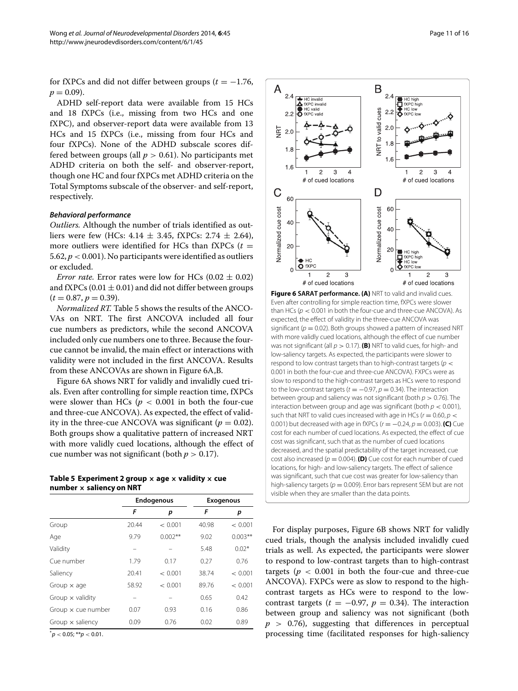for fXPCs and did not differ between groups ( $t = -1.76$ ,  $p = 0.09$ .

ADHD self-report data were available from 15 HCs and 18 fXPCs (i.e., missing from two HCs and one fXPC), and observer-report data were available from 13 HCs and 15 fXPCs (i.e., missing from four HCs and four fXPCs). None of the ADHD subscale scores differed between groups (all *p >* 0.61). No participants met ADHD criteria on both the self- and observer-report, though one HC and four fXPCs met ADHD criteria on the Total Symptoms subscale of the observer- and self-report, respectively.

#### *Behavioral performance*

*Outliers.* Although the number of trials identified as outliers were few (HCs:  $4.14 \pm 3.45$ , fXPCs:  $2.74 \pm 2.64$ ), more outliers were identified for HCs than fXPCs  $(t =$ 5.62, *p <* 0.001). No participants were identified as outliers or excluded.

*Error rate.* Error rates were low for HCs  $(0.02 \pm 0.02)$ and fXPCs (0.01  $\pm$  0.01) and did not differ between groups  $(t = 0.87, p = 0.39).$ 

*Normalized RT.* Table [5](#page-10-0) shows the results of the ANCO-VAs on NRT. The first ANCOVA included all four cue numbers as predictors, while the second ANCOVA included only cue numbers one to three. Because the fourcue cannot be invalid, the main effect or interactions with validity were not included in the first ANCOVA. Results from these ANCOVAs are shown in Figure [6A](#page-10-1),B.

Figure [6A](#page-10-1) shows NRT for validly and invalidly cued trials. Even after controlling for simple reaction time, fXPCs were slower than HCs ( $p < 0.001$  in both the four-cue and three-cue ANCOVA). As expected, the effect of validity in the three-cue ANCOVA was significant ( $p = 0.02$ ). Both groups show a qualitative pattern of increased NRT with more validly cued locations, although the effect of cue number was not significant (both  $p > 0.17$ ).

#### <span id="page-10-0"></span>**Table 5 Experiment 2 group × age × validity × cue number × saliency on NRT**

|                           |       | Endogenous | <b>Exogenous</b> |           |  |
|---------------------------|-------|------------|------------------|-----------|--|
|                           | F     | р          | F                | р         |  |
| Group                     | 20.44 | < 0.001    | 40.98            | < 0.001   |  |
| Age                       | 9.79  | $0.002**$  | 9.02             | $0.003**$ |  |
| Validity                  |       |            | 5.48             | $0.02*$   |  |
| Cue number                | 1.79  | 0.17       | 0.27             | 0.76      |  |
| Saliency                  | 20.41 | < 0.001    | 38.74            | < 0.001   |  |
| Group $\times$ age        | 58.92 | < 0.001    | 89.76            | < 0.001   |  |
| Group $\times$ validity   |       |            | 0.65             | 0.42      |  |
| Group $\times$ cue number | 0.07  | 0.93       | 0.16             | 0.86      |  |
| Group $\times$ saliency   | 0.09  | 0.76       | 0.02             | 0.89      |  |

 $p^*$  *p*  $< 0.05$ ; \*\**p*  $< 0.01$ .



<span id="page-10-1"></span>Even after controlling for simple reaction time, fXPCs were slower than HCs (*p <* 0.001 in both the four-cue and three-cue ANCOVA). As expected, the effect of validity in the three-cue ANCOVA was significant ( $p = 0.02$ ). Both groups showed a pattern of increased NRT with more validly cued locations, although the effect of cue number was not significant (all *p >* 0.17). **(B)** NRT to valid cues, for high- and low-saliency targets. As expected, the participants were slower to respond to low contrast targets than to high-contrast targets (*p <* 0.001 in both the four-cue and three-cue ANCOVA). FXPCs were as slow to respond to the high-contrast targets as HCs were to respond to the low-contrast targets  $(t = -0.97, p = 0.34)$ . The interaction between group and saliency was not significant (both *p >* 0.76). The interaction between group and age was significant (both *p <* 0.001), such that NRT to valid cues increased with age in HCs ( $r = 0.60$ ,  $p <$ 0.001) but decreased with age in fXPCs (*r* = −0.24, *p* = 0.003). **(C)** Cue cost for each number of cued locations. As expected, the effect of cue cost was significant, such that as the number of cued locations decreased, and the spatial predictability of the target increased, cue cost also increased ( $p = 0.004$ ). **(D)** Cue cost for each number of cued locations, for high- and low-saliency targets. The effect of salience was significant, such that cue cost was greater for low-saliency than high-saliency targets ( $p = 0.009$ ). Error bars represent SEM but are not visible when they are smaller than the data points.

For display purposes, Figure [6B](#page-10-1) shows NRT for validly cued trials, though the analysis included invalidly cued trials as well. As expected, the participants were slower to respond to low-contrast targets than to high-contrast targets ( $p < 0.001$  in both the four-cue and three-cue ANCOVA). FXPCs were as slow to respond to the highcontrast targets as HCs were to respond to the lowcontrast targets ( $t = -0.97$ ,  $p = 0.34$ ). The interaction between group and saliency was not significant (both *p >* 0.76), suggesting that differences in perceptual processing time (facilitated responses for high-saliency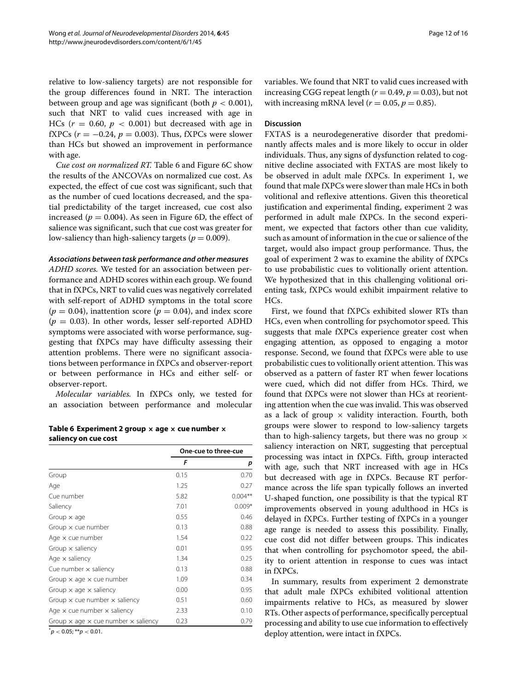relative to low-saliency targets) are not responsible for the group differences found in NRT. The interaction between group and age was significant (both  $p < 0.001$ ), such that NRT to valid cues increased with age in HCs  $(r = 0.60, p < 0.001)$  but decreased with age in fXPCs  $(r = -0.24, p = 0.003)$ . Thus, fXPCs were slower than HCs but showed an improvement in performance with age.

*Cue cost on normalized RT.* Table [6](#page-11-0) and Figure [6C](#page-10-1) show the results of the ANCOVAs on normalized cue cost. As expected, the effect of cue cost was significant, such that as the number of cued locations decreased, and the spatial predictability of the target increased, cue cost also increased ( $p = 0.004$ ). As seen in Figure [6D](#page-10-1), the effect of salience was significant, such that cue cost was greater for low-saliency than high-saliency targets ( $p = 0.009$ ).

#### *Associations between task performance and other measures*

*ADHD scores.* We tested for an association between performance and ADHD scores within each group. We found that in fXPCs, NRT to valid cues was negatively correlated with self-report of ADHD symptoms in the total score  $(p = 0.04)$ , inattention score  $(p = 0.04)$ , and index score  $(p = 0.03)$ . In other words, lesser self-reported ADHD symptoms were associated with worse performance, suggesting that fXPCs may have difficulty assessing their attention problems. There were no significant associations between performance in fXPCs and observer-report or between performance in HCs and either self- or observer-report.

*Molecular variables.* In fXPCs only, we tested for an association between performance and molecular

<span id="page-11-0"></span>**Table 6 Experiment 2 group × age × cue number × saliency on cue cost**

|                                                          | One-cue to three-cue |           |
|----------------------------------------------------------|----------------------|-----------|
|                                                          | F                    | р         |
| Group                                                    | 0.15                 | 0.70      |
| Age                                                      | 1.25                 | 0.27      |
| Cue number                                               | 5.82                 | $0.004**$ |
| Saliency                                                 | 7.01                 | $0.009*$  |
| Group $\times$ age                                       | 0.55                 | 0.46      |
| Group $\times$ cue number                                | 0.13                 | 0.88      |
| Age $\times$ cue number                                  | 1.54                 | 0.22      |
| Group $\times$ saliency                                  | 0.01                 | 0.95      |
| Age $\times$ saliency                                    | 1.34                 | 0.25      |
| Cue number $\times$ saliency                             | 0.13                 | 0.88      |
| Group $\times$ age $\times$ cue number                   | 1.09                 | 0.34      |
| Group $\times$ age $\times$ saliency                     | 0.00                 | 0.95      |
| Group $\times$ cue number $\times$ saliency              | 0.51                 | 0.60      |
| Age $\times$ cue number $\times$ saliency                | 2.33                 | 0.10      |
| Group $\times$ age $\times$ cue number $\times$ saliency | 0.23                 | 0.79      |

\**p <* 0.05; \*\**p <* 0.01.

variables. We found that NRT to valid cues increased with increasing CGG repeat length  $(r = 0.49, p = 0.03)$ , but not with increasing mRNA level  $(r = 0.05, p = 0.85)$ .

#### **Discussion**

FXTAS is a neurodegenerative disorder that predominantly affects males and is more likely to occur in older individuals. Thus, any signs of dysfunction related to cognitive decline associated with FXTAS are most likely to be observed in adult male fXPCs. In experiment 1, we found that male fXPCs were slower than male HCs in both volitional and reflexive attentions. Given this theoretical justification and experimental finding, experiment 2 was performed in adult male fXPCs. In the second experiment, we expected that factors other than cue validity, such as amount of information in the cue or salience of the target, would also impact group performance. Thus, the goal of experiment 2 was to examine the ability of fXPCs to use probabilistic cues to volitionally orient attention. We hypothesized that in this challenging volitional orienting task, fXPCs would exhibit impairment relative to HCs.

First, we found that fXPCs exhibited slower RTs than HCs, even when controlling for psychomotor speed. This suggests that male fXPCs experience greater cost when engaging attention, as opposed to engaging a motor response. Second, we found that fXPCs were able to use probabilistic cues to volitionally orient attention. This was observed as a pattern of faster RT when fewer locations were cued, which did not differ from HCs. Third, we found that fXPCs were not slower than HCs at reorienting attention when the cue was invalid. This was observed as a lack of group  $\times$  validity interaction. Fourth, both groups were slower to respond to low-saliency targets than to high-saliency targets, but there was no group  $\times$ saliency interaction on NRT, suggesting that perceptual processing was intact in fXPCs. Fifth, group interacted with age, such that NRT increased with age in HCs but decreased with age in fXPCs. Because RT performance across the life span typically follows an inverted U-shaped function, one possibility is that the typical RT improvements observed in young adulthood in HCs is delayed in fXPCs. Further testing of fXPCs in a younger age range is needed to assess this possibility. Finally, cue cost did not differ between groups. This indicates that when controlling for psychomotor speed, the ability to orient attention in response to cues was intact in fXPCs.

In summary, results from experiment 2 demonstrate that adult male fXPCs exhibited volitional attention impairments relative to HCs, as measured by slower RTs. Other aspects of performance, specifically perceptual processing and ability to use cue information to effectively deploy attention, were intact in fXPCs.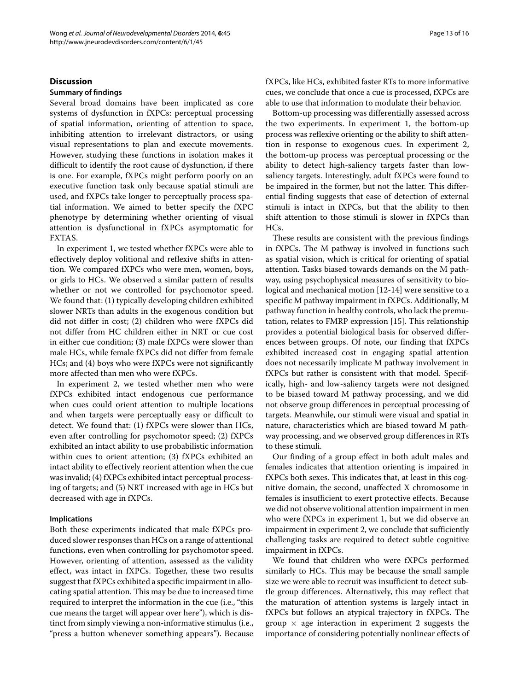#### **Discussion**

#### **Summary of findings**

Several broad domains have been implicated as core systems of dysfunction in fXPCs: perceptual processing of spatial information, orienting of attention to space, inhibiting attention to irrelevant distractors, or using visual representations to plan and execute movements. However, studying these functions in isolation makes it difficult to identify the root cause of dysfunction, if there is one. For example, fXPCs might perform poorly on an executive function task only because spatial stimuli are used, and fXPCs take longer to perceptually process spatial information. We aimed to better specify the fXPC phenotype by determining whether orienting of visual attention is dysfunctional in fXPCs asymptomatic for FXTAS.

In experiment 1, we tested whether fXPCs were able to effectively deploy volitional and reflexive shifts in attention. We compared fXPCs who were men, women, boys, or girls to HCs. We observed a similar pattern of results whether or not we controlled for psychomotor speed. We found that: (1) typically developing children exhibited slower NRTs than adults in the exogenous condition but did not differ in cost; (2) children who were fXPCs did not differ from HC children either in NRT or cue cost in either cue condition; (3) male fXPCs were slower than male HCs, while female fXPCs did not differ from female HCs; and (4) boys who were fXPCs were not significantly more affected than men who were fXPCs.

In experiment 2, we tested whether men who were fXPCs exhibited intact endogenous cue performance when cues could orient attention to multiple locations and when targets were perceptually easy or difficult to detect. We found that: (1) fXPCs were slower than HCs, even after controlling for psychomotor speed; (2) fXPCs exhibited an intact ability to use probabilistic information within cues to orient attention; (3) fXPCs exhibited an intact ability to effectively reorient attention when the cue was invalid; (4) fXPCs exhibited intact perceptual processing of targets; and (5) NRT increased with age in HCs but decreased with age in fXPCs.

#### **Implications**

Both these experiments indicated that male fXPCs produced slower responses than HCs on a range of attentional functions, even when controlling for psychomotor speed. However, orienting of attention, assessed as the validity effect, was intact in fXPCs. Together, these two results suggest that fXPCs exhibited a specific impairment in allocating spatial attention. This may be due to increased time required to interpret the information in the cue (i.e., "this cue means the target will appear over here"), which is distinct from simply viewing a non-informative stimulus (i.e., "press a button whenever something appears"). Because fXPCs, like HCs, exhibited faster RTs to more informative cues, we conclude that once a cue is processed, fXPCs are able to use that information to modulate their behavior.

Bottom-up processing was differentially assessed across the two experiments. In experiment 1, the bottom-up process was reflexive orienting or the ability to shift attention in response to exogenous cues. In experiment 2, the bottom-up process was perceptual processing or the ability to detect high-saliency targets faster than lowsaliency targets. Interestingly, adult fXPCs were found to be impaired in the former, but not the latter. This differential finding suggests that ease of detection of external stimuli is intact in fXPCs, but that the ability to then shift attention to those stimuli is slower in fXPCs than HCs.

These results are consistent with the previous findings in fXPCs. The M pathway is involved in functions such as spatial vision, which is critical for orienting of spatial attention. Tasks biased towards demands on the M pathway, using psychophysical measures of sensitivity to biological and mechanical motion [\[12-](#page-14-11)[14\]](#page-14-12) were sensitive to a specific M pathway impairment in fXPCs. Additionally, M pathway function in healthy controls, who lack the premutation, relates to FMRP expression [\[15\]](#page-14-13). This relationship provides a potential biological basis for observed differences between groups. Of note, our finding that fXPCs exhibited increased cost in engaging spatial attention does not necessarily implicate M pathway involvement in fXPCs but rather is consistent with that model. Specifically, high- and low-saliency targets were not designed to be biased toward M pathway processing, and we did not observe group differences in perceptual processing of targets. Meanwhile, our stimuli were visual and spatial in nature, characteristics which are biased toward M pathway processing, and we observed group differences in RTs to these stimuli.

Our finding of a group effect in both adult males and females indicates that attention orienting is impaired in fXPCs both sexes. This indicates that, at least in this cognitive domain, the second, unaffected X chromosome in females is insufficient to exert protective effects. Because we did not observe volitional attention impairment in men who were fXPCs in experiment 1, but we did observe an impairment in experiment 2, we conclude that sufficiently challenging tasks are required to detect subtle cognitive impairment in fXPCs.

We found that children who were fXPCs performed similarly to HCs. This may be because the small sample size we were able to recruit was insufficient to detect subtle group differences. Alternatively, this may reflect that the maturation of attention systems is largely intact in fXPCs but follows an atypical trajectory in fXPCs. The group  $\times$  age interaction in experiment 2 suggests the importance of considering potentially nonlinear effects of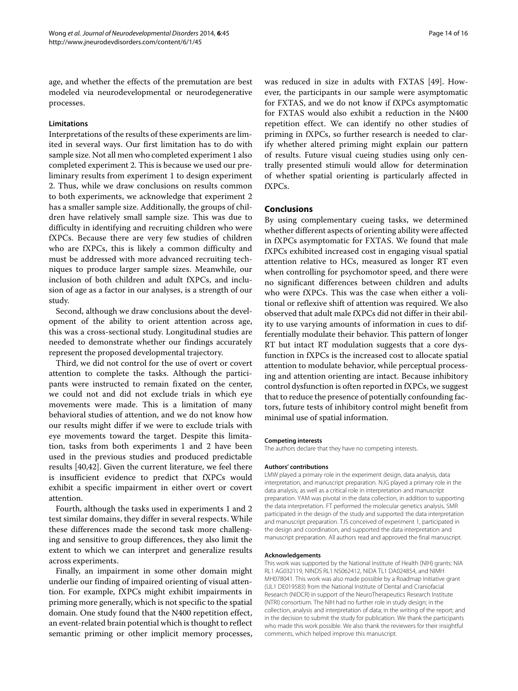age, and whether the effects of the premutation are best modeled via neurodevelopmental or neurodegenerative processes.

#### **Limitations**

Interpretations of the results of these experiments are limited in several ways. Our first limitation has to do with sample size. Not all men who completed experiment 1 also completed experiment 2. This is because we used our preliminary results from experiment 1 to design experiment 2. Thus, while we draw conclusions on results common to both experiments, we acknowledge that experiment 2 has a smaller sample size. Additionally, the groups of children have relatively small sample size. This was due to difficulty in identifying and recruiting children who were fXPCs. Because there are very few studies of children who are fXPCs, this is likely a common difficulty and must be addressed with more advanced recruiting techniques to produce larger sample sizes. Meanwhile, our inclusion of both children and adult fXPCs, and inclusion of age as a factor in our analyses, is a strength of our study.

Second, although we draw conclusions about the development of the ability to orient attention across age, this was a cross-sectional study. Longitudinal studies are needed to demonstrate whether our findings accurately represent the proposed developmental trajectory.

Third, we did not control for the use of overt or covert attention to complete the tasks. Although the participants were instructed to remain fixated on the center, we could not and did not exclude trials in which eye movements were made. This is a limitation of many behavioral studies of attention, and we do not know how our results might differ if we were to exclude trials with eye movements toward the target. Despite this limitation, tasks from both experiments 1 and 2 have been used in the previous studies and produced predictable results [\[40](#page-15-3)[,42\]](#page-15-5). Given the current literature, we feel there is insufficient evidence to predict that fXPCs would exhibit a specific impairment in either overt or covert attention.

Fourth, although the tasks used in experiments 1 and 2 test similar domains, they differ in several respects. While these differences made the second task more challenging and sensitive to group differences, they also limit the extent to which we can interpret and generalize results across experiments.

Finally, an impairment in some other domain might underlie our finding of impaired orienting of visual attention. For example, fXPCs might exhibit impairments in priming more generally, which is not specific to the spatial domain. One study found that the N400 repetition effect, an event-related brain potential which is thought to reflect semantic priming or other implicit memory processes, was reduced in size in adults with FXTAS [\[49\]](#page-15-10). However, the participants in our sample were asymptomatic for FXTAS, and we do not know if fXPCs asymptomatic for FXTAS would also exhibit a reduction in the N400 repetition effect. We can identify no other studies of priming in fXPCs, so further research is needed to clarify whether altered priming might explain our pattern of results. Future visual cueing studies using only centrally presented stimuli would allow for determination of whether spatial orienting is particularly affected in fXPCs.

#### **Conclusions**

By using complementary cueing tasks, we determined whether different aspects of orienting ability were affected in fXPCs asymptomatic for FXTAS. We found that male fXPCs exhibited increased cost in engaging visual spatial attention relative to HCs, measured as longer RT even when controlling for psychomotor speed, and there were no significant differences between children and adults who were fXPCs. This was the case when either a volitional or reflexive shift of attention was required. We also observed that adult male fXPCs did not differ in their ability to use varying amounts of information in cues to differentially modulate their behavior. This pattern of longer RT but intact RT modulation suggests that a core dysfunction in fXPCs is the increased cost to allocate spatial attention to modulate behavior, while perceptual processing and attention orienting are intact. Because inhibitory control dysfunction is often reported in fXPCs, we suggest that to reduce the presence of potentially confounding factors, future tests of inhibitory control might benefit from minimal use of spatial information.

#### **Competing interests**

The authors declare that they have no competing interests.

#### **Authors' contributions**

LMW played a primary role in the experiment design, data analysis, data interpretation, and manuscript preparation. NJG played a primary role in the data analysis, as well as a critical role in interpretation and manuscript preparation. YAM was pivotal in the data collection, in addition to supporting the data interpretation. FT performed the molecular genetics analysis. SMR participated in the design of the study and supported the data interpretation and manuscript preparation. TJS conceived of experiment 1, participated in the design and coordination, and supported the data interpretation and manuscript preparation. All authors read and approved the final manuscript.

#### **Acknowledgements**

This work was supported by the National Institute of Health (NIH) grants: NIA RL1 AG032119, NINDS RL1 NS062412, NIDA TL1 DA024854, and NIMH MH078041. This work was also made possible by a Roadmap Initiative grant (UL1 DE019583) from the National Institute of Dental and Craniofacial Research (NIDCR) in support of the NeuroTherapeutics Research Institute (NTRI) consortium. The NIH had no further role in study design; in the collection, analysis and interpretation of data; in the writing of the report; and in the decision to submit the study for publication. We thank the participants who made this work possible. We also thank the reviewers for their insightful comments, which helped improve this manuscript.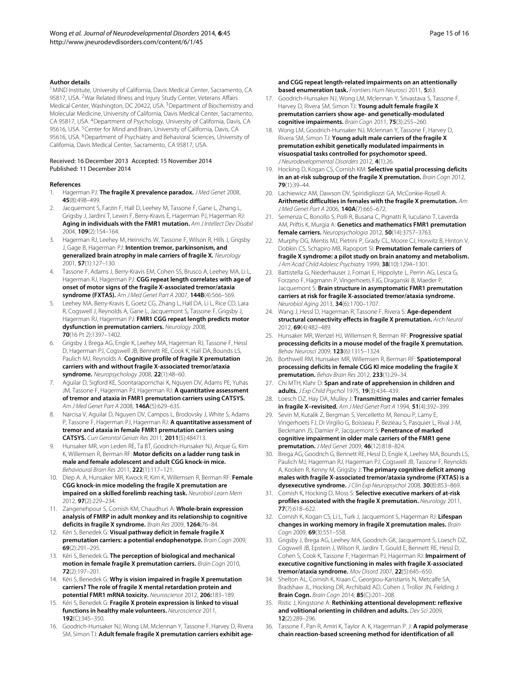#### **Author details**

<sup>1</sup> MIND Institute, University of California, Davis Medical Center, Sacramento, CA 95817, USA. <sup>2</sup> War Related Illness and Injury Study Center, Veterans Affairs Medical Center, Washington, DC 20422, USA. 3Department of Biochemistry and Molecular Medicine, University of California, Davis Medical Center, Sacramento, CA 95817, USA. 4Department of Psychology, University of California, Davis, CA 95616, USA. <sup>5</sup> Center for Mind and Brain, University of California, Davis, CA 95616, USA. <sup>6</sup>Department of Psychiatry and Behavioral Sciences, University of California, Davis Medical Center, Sacramento, CA 95817, USA.

#### Received: 16 December 2013 Accepted: 15 November 2014 Published: 11 December 2014

#### **References**

- <span id="page-14-0"></span>1. Hagerman PJ: **The fragile X prevalence paradox.** *J Med Genet* 2008, **45**(8):498–499.
- <span id="page-14-1"></span>2. Jacquemont S, Farzin F, Hall D, Leehey M, Tassone F, Gane L, Zhang L, Grigsby J, Jardini T, Lewin F, Berry-Kravis E, Hagerman PJ, Hagerman RJ: **Aging in individuals with the FMR1 mutation.** *Am J Intellect Dev Disabil* 2004, **109**(2):154–164.
- <span id="page-14-2"></span>3. Hagerman RJ, Leehey M, Heinrichs W, Tassone F, Wilson R, Hills J, Grigsby J, Gage B, Hagerman PJ: **Intention tremor, parkinsonism, and generalized brain atrophy in male carriers of fragile X.** *Neurology* 2001, **57**(1):127–130.
- <span id="page-14-3"></span>Tassone F, Adams J, Berry-Kravis EM, Cohen SS, Brusco A, Leehey MA, Li L, Hagerman RJ, Hagerman PJ: **CGG repeat length correlates with age of onset of motor signs of the fragile X-associated tremor/ataxia syndrome (FXTAS).** *Am J Med Genet Part A* 2007, **144B**(4):566–569.
- <span id="page-14-4"></span>Leehey MA, Berry-Kravis E, Goetz CG, Zhang L, Hall DA, Li L, Rice CD, Lara R, Coaswell J, Reynolds A, Gane L, Jacquemont S, Tassone F, Grigsby J, Hagerman RJ, Hagerman PJ: **FMR1 CGG repeat length predicts motor dysfunction in premutation carriers.** *Neurology* 2008, **70**(16 Pt 2):1397–1402.
- <span id="page-14-5"></span>6. Grigsby J, Brega AG, Engle K, Leehey MA, Hagerman RJ, Tassone F, Hessl D, Hagerman PJ, Cogswell JB, Bennett RE, Cook K, Hall DA, Bounds LS, Paulich MJ, Reynolds A: **Cognitive profile of fragile X premutation carriers with and without fragile X-associated tremor/ataxia syndrome.** *Neuropsychology* 2008, **22**(1):48–60.
- <span id="page-14-6"></span>7. Aguilar D, Sigford KE, Soontarapornchai K, Nguyen DV, Adams PE, Yuhas JM, Tassone F, Hagerman PJ, Hagerman RJ: **A quantitative assessment of tremor and ataxia in FMR1 premutation carriers using CATSYS.** *Am J Med Genet Part A* 2008, **146A**(5):629–635.
- <span id="page-14-7"></span>8. Narcisa V, Aguilar D, Nguyen DV, Campos L, Brodovsky J, White S, Adams P, Tassone F, Hagerman PJ, Hagerman RJ: **A quantitative assessment of tremor and ataxia in female FMR1 premutation carriers using CATSYS.** *Curr Gerontol Geriatr Res* 2011, **2011**(5):484713.
- <span id="page-14-8"></span>9. Hunsaker MR, von Leden RE, Ta BT, Goodrich-Hunsaker NJ, Arque G, Kim K, Willemsen R, Berman RF: **Motor deficits on a ladder rung task in male and female adolescent and adult CGG knock-in mice.** *Behavioural Brain Res* 2011, **222**(1):117–121.
- <span id="page-14-9"></span>10. Diep A. A, Hunsaker MR, Kwock R, Kim K, Willemsen R, Berman RF: **Female CGG knock-in mice modeling the fragile X premutation are impaired on a skilled forelimb reaching task.** *Neurobiol Learn Mem* 2012, **97**(2):229–234.
- <span id="page-14-10"></span>11. Zangenehpour S, Cornish KM, Chaudhuri A: **Whole-brain expression analysis of FMRP in adult monkey and its relationship to cognitive deficits in fragile X syndrome.** *Brain Res* 2009, **1264:**76–84.
- <span id="page-14-11"></span>12. Kéri S, Benedek G: **Visual pathway deficit in female fragile X premutation carriers: a potential endophenotype.** *Brain Cogn* 2009, **69**(2):291–295.
- 13. Kéri S, Benedek G: **The perception of biological and mechanical motion in female fragile X premutation carriers.** *Brain Cogn* 2010, **72**(2):197–201.
- <span id="page-14-12"></span>14. Kéri S, Benedek G: **Why is vision impaired in fragile X premutation carriers? The role of fragile X mental retardation protein and potential FMR1 mRNA toxicity.** *Neuroscience* 2012, **206:**183–189.
- <span id="page-14-13"></span>15. Kéri S, Benedek G: **Fragile X protein expression is linked to visual functions in healthy male volunteers.** *Neuroscience* 2011, **192**(C):345–350.
- <span id="page-14-14"></span>16. Goodrich-Hunsaker NJ, Wong LM, Mclennan Y, Tassone F, Harvey D, Rivera SM, Simon TJ: **Adult female fragile X premutation carriers exhibit age-**

#### **and CGG repeat length-related impairments on an attentionally based enumeration task.** *Frontiers Hum Neurosci* 2011, **5:**63.

- 17. Goodrich-Hunsaker NJ, Wong LM, Mclennan Y, Srivastava S, Tassone F, Harvey D, Rivera SM, Simon TJ: **Young adult female fragile X premutation carriers show age- and genetically-modulated cognitive impairments.** *Brain Cogn* 2011, **75**(3):255–260.
- <span id="page-14-24"></span>18. Wong LM, Goodrich-Hunsaker NJ, Mclennan Y, Tassone F, Harvey D, Rivera SM, Simon TJ: **Young adult male carriers of the fragile X premutation exhibit genetically modulated impairments in visuospatial tasks controlled for psychomotor speed.** *J Neurodevelopmental Disorders* 2012, **4**(1):26.
- <span id="page-14-15"></span>19. Hocking D, Kogan CS, Cornish KM: **Selective spatial processing deficits in an at-risk subgroup of the fragile X premutation.** *Brain Cogn* 2012, **79**(1):39–44.
- <span id="page-14-16"></span>20. Lachiewicz AM, Dawson DV, Spiridigliozzi GA, McConkie-Rosell A: **Arithmetic difficulties in females with the fragile X premutation.** *Am J Med Genet Part A* 2006, **140A**(7):665–672.
- <span id="page-14-17"></span>21. Semenza C, Bonollo S, Polli R, Busana C, Pignatti R, Iuculano T, Laverda AM, Priftis K, Murgia A: **Genetics and mathematics FMR1 premutation female carriers.** *Neuropsychologia* 2012, **50**(14):3757–3763.
- <span id="page-14-18"></span>22. Murphy DG, Mentis MJ, Pietrini P, Grady CL, Moore CJ, Horwitz B, Hinton V, Dobkin CS, Schapiro MB, Rapoport SI: **Premutation female carriers of fragile X syndrome: a pilot study on brain anatomy and metabolism.** *J Am Acad Child Adolesc Psychiatry* 1999, **38**(10):1294–1301.
- <span id="page-14-19"></span>23. Battistella G, Niederhauser J, Fornari E, Hippolyte L, Perrin AG, Lesca G, Forzano F, Hagmann P, Vingerhoets FJG, Draganski B, Maeder P, Jacquemont S: **Brain structure in asymptomatic FMR1 premutation carriers at risk for fragile X-associated tremor/ataxia syndrome.** *Neurobiol Aging* 2013, **34**(6):1700–1707.
- <span id="page-14-20"></span>24. Wang J, Hessl D, Hagerman R, Tassone F, Rivera S: **Age-dependent structural connectivity effects in fragile X premutation.** *Arch Neurol* 2012, **69**(4):482–489.
- <span id="page-14-21"></span>25. Hunsaker MR, Wenzel HJ, Willemsen R, Berman RF: **Progressive spatial processing deficits in a mouse model of the fragile X premutation.** *Behav Neurosci* 2009, **123**(6):1315–1324.
- <span id="page-14-22"></span>26. Borthwell RM, Hunsaker MR, Willemsen R, Berman RF: **Spatiotemporal processing deficits in female CGG KI mice modeling the fragile X premutation.** *Behav Brain Res* 2012, **233**(1):29–34.
- <span id="page-14-23"></span>27. Chi MTH, Klahr D: **Span and rate of apprehension in children and adults.** *J Exp Child Psychol* 1975, **19**(3):434–439.
- <span id="page-14-25"></span>28. Loesch DZ, Hay DA, Mulley J: **Transmitting males and carrier females in fragile X–revisited.** *Am J Med Genet Part A* 1994, **51**(4):392–399.
- <span id="page-14-26"></span>29. Sevin M, Kutalik Z, Bergman S, Vercelletto M, Renou P, Lamy E, Vingerhoets FJ, Di Virgilio G, Boisseau P, Bezieau S, Pasquier L, Rival J-M, Beckmann JS, Damier P, Jacquemont S: **Penetrance of marked cognitive impairment in older male carriers of the FMR1 gene premutation.** *J Med Genet* 2009, **46**(12):818–824.
- <span id="page-14-27"></span>30. Brega AG, Goodrich G, Bennett RE, Hessl D, Engle K, Leehey MA, Bounds LS, Paulich MJ, Hagerman RJ, Hagerman PJ, Cogswell JB, Tassone F, Reynolds A, Kooken R, Kenny M, Grigsby J: **The primary cognitive deficit among males with fragile X-associated tremor/ataxia syndrome (FXTAS) is a dysexecutive syndrome.** *J Clin Exp Neuropsychol* 2008, **30**(8):853–869.
- 31. Cornish K, Hocking D, Moss S: **Selective executive markers of at-risk profiles associated with the fragile X premutation.** *Neurology* 2011, **77**(7):618–622.
- 32. Cornish K, Kogan CS, Li L, Turk J, Jacquemont S, Hagerman RJ: **Lifespan changes in working memory in fragile X premutation males.** *Brain Cogn* 2009, **69**(3):551–558.
- <span id="page-14-28"></span>33. Grigsby J, Brega AG, Leehey MA, Goodrich GK, Jacquemont S, Loesch DZ, Cogswell JB, Epstein J, Wilson R, Jardini T, Gould E, Bennett RE, Hessl D, Cohen S, Cook K, Tassone F, Hagerman PJ, Hagerman RJ: **Impairment of executive cognitive functioning in males with fragile X-associated tremor/ataxia syndrome.** *Mov Disord* 2007, **22**(5):645–650.
- <span id="page-14-29"></span>34. Shelton AL, Cornish K, Kraan C, Georgiou-Karistianis N, Metcalfe SA, Bradshaw JL, Hocking DR, Archibald AD, Cohen J, Trollor JN, Fielding J: **Brain Cogn.** *Brain Cogn* 2014, **85**(C):201–208.
- <span id="page-14-30"></span>35. Ristic J, Kingstone A: **Rethinking attentional development: reflexive and volitional orienting in children and adults.** *Dev Sci* 2009, **12**(2):289–296.
- <span id="page-14-31"></span>36. Tassone F, Pan R, Amiri K, Taylor A. K, Hagerman P. J: **A rapid polymerase chain reaction-based screening method for identification of all**